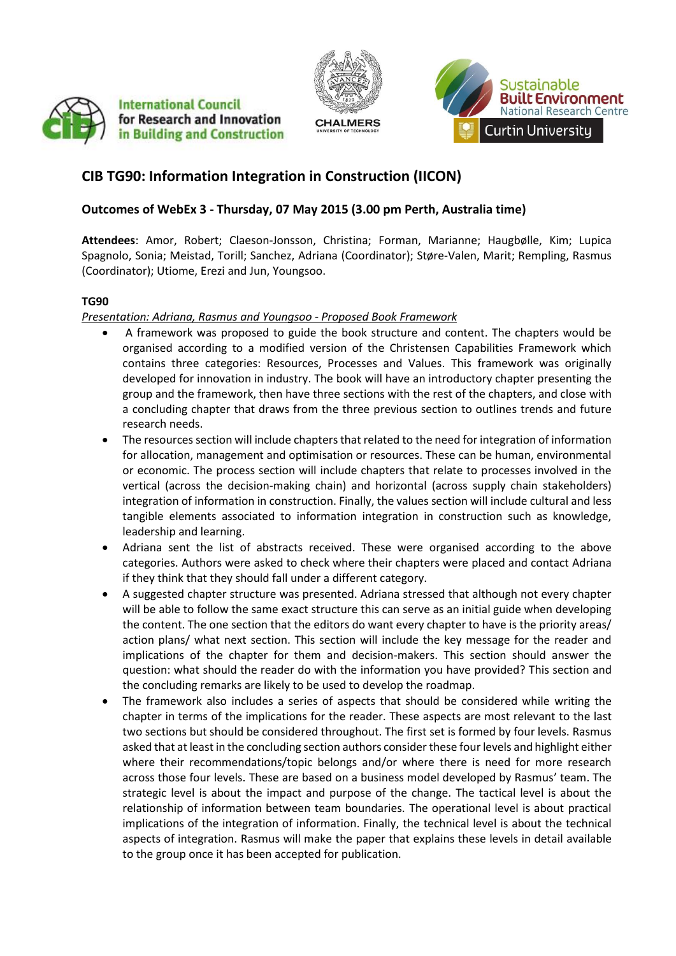





# **CIB TG90: Information Integration in Construction (IICON)**

## **Outcomes of WebEx 3 - Thursday, 07 May 2015 (3.00 pm Perth, Australia time)**

**Attendees**: Amor, Robert; Claeson-Jonsson, Christina; Forman, Marianne; Haugbølle, Kim; Lupica Spagnolo, Sonia; Meistad, Torill; Sanchez, Adriana (Coordinator); Støre-Valen, Marit; Rempling, Rasmus (Coordinator); Utiome, Erezi and Jun, Youngsoo.

#### **TG90**

### *Presentation: Adriana, Rasmus and Youngsoo - Proposed Book Framework*

- A framework was proposed to guide the book structure and content. The chapters would be organised according to a modified version of the Christensen Capabilities Framework which contains three categories: Resources, Processes and Values. This framework was originally developed for innovation in industry. The book will have an introductory chapter presenting the group and the framework, then have three sections with the rest of the chapters, and close with a concluding chapter that draws from the three previous section to outlines trends and future research needs.
- The resources section will include chapters that related to the need for integration of information for allocation, management and optimisation or resources. These can be human, environmental or economic. The process section will include chapters that relate to processes involved in the vertical (across the decision-making chain) and horizontal (across supply chain stakeholders) integration of information in construction. Finally, the values section will include cultural and less tangible elements associated to information integration in construction such as knowledge, leadership and learning.
- Adriana sent the list of abstracts received. These were organised according to the above categories. Authors were asked to check where their chapters were placed and contact Adriana if they think that they should fall under a different category.
- A suggested chapter structure was presented. Adriana stressed that although not every chapter will be able to follow the same exact structure this can serve as an initial guide when developing the content. The one section that the editors do want every chapter to have is the priority areas/ action plans/ what next section. This section will include the key message for the reader and implications of the chapter for them and decision-makers. This section should answer the question: what should the reader do with the information you have provided? This section and the concluding remarks are likely to be used to develop the roadmap.
- The framework also includes a series of aspects that should be considered while writing the chapter in terms of the implications for the reader. These aspects are most relevant to the last two sections but should be considered throughout. The first set is formed by four levels. Rasmus asked that at least in the concluding section authors consider these four levels and highlight either where their recommendations/topic belongs and/or where there is need for more research across those four levels. These are based on a business model developed by Rasmus' team. The strategic level is about the impact and purpose of the change. The tactical level is about the relationship of information between team boundaries. The operational level is about practical implications of the integration of information. Finally, the technical level is about the technical aspects of integration. Rasmus will make the paper that explains these levels in detail available to the group once it has been accepted for publication.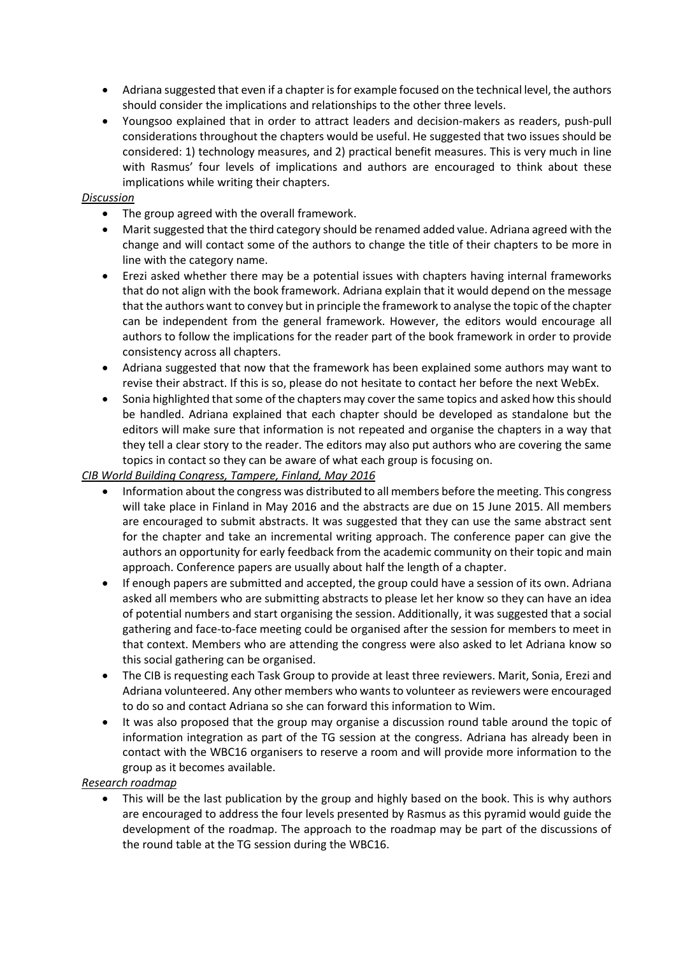- Adriana suggested that even if a chapter is for example focused on the technical level, the authors should consider the implications and relationships to the other three levels.
- Youngsoo explained that in order to attract leaders and decision-makers as readers, push-pull considerations throughout the chapters would be useful. He suggested that two issues should be considered: 1) technology measures, and 2) practical benefit measures. This is very much in line with Rasmus' four levels of implications and authors are encouraged to think about these implications while writing their chapters.

#### *Discussion*

- The group agreed with the overall framework.
- Marit suggested that the third category should be renamed added value. Adriana agreed with the change and will contact some of the authors to change the title of their chapters to be more in line with the category name.
- Erezi asked whether there may be a potential issues with chapters having internal frameworks that do not align with the book framework. Adriana explain that it would depend on the message that the authors want to convey but in principle the framework to analyse the topic of the chapter can be independent from the general framework. However, the editors would encourage all authors to follow the implications for the reader part of the book framework in order to provide consistency across all chapters.
- Adriana suggested that now that the framework has been explained some authors may want to revise their abstract. If this is so, please do not hesitate to contact her before the next WebEx.
- Sonia highlighted that some of the chapters may cover the same topics and asked how this should be handled. Adriana explained that each chapter should be developed as standalone but the editors will make sure that information is not repeated and organise the chapters in a way that they tell a clear story to the reader. The editors may also put authors who are covering the same topics in contact so they can be aware of what each group is focusing on.

#### *CIB World Building Congress, Tampere, Finland, May 2016*

- Information about the congress was distributed to all members before the meeting. This congress will take place in Finland in May 2016 and the abstracts are due on 15 June 2015. All members are encouraged to submit abstracts. It was suggested that they can use the same abstract sent for the chapter and take an incremental writing approach. The conference paper can give the authors an opportunity for early feedback from the academic community on their topic and main approach. Conference papers are usually about half the length of a chapter.
- If enough papers are submitted and accepted, the group could have a session of its own. Adriana asked all members who are submitting abstracts to please let her know so they can have an idea of potential numbers and start organising the session. Additionally, it was suggested that a social gathering and face-to-face meeting could be organised after the session for members to meet in that context. Members who are attending the congress were also asked to let Adriana know so this social gathering can be organised.
- The CIB is requesting each Task Group to provide at least three reviewers. Marit, Sonia, Erezi and Adriana volunteered. Any other members who wants to volunteer as reviewers were encouraged to do so and contact Adriana so she can forward this information to Wim.
- It was also proposed that the group may organise a discussion round table around the topic of information integration as part of the TG session at the congress. Adriana has already been in contact with the WBC16 organisers to reserve a room and will provide more information to the group as it becomes available.

### *Research roadmap*

 This will be the last publication by the group and highly based on the book. This is why authors are encouraged to address the four levels presented by Rasmus as this pyramid would guide the development of the roadmap. The approach to the roadmap may be part of the discussions of the round table at the TG session during the WBC16.